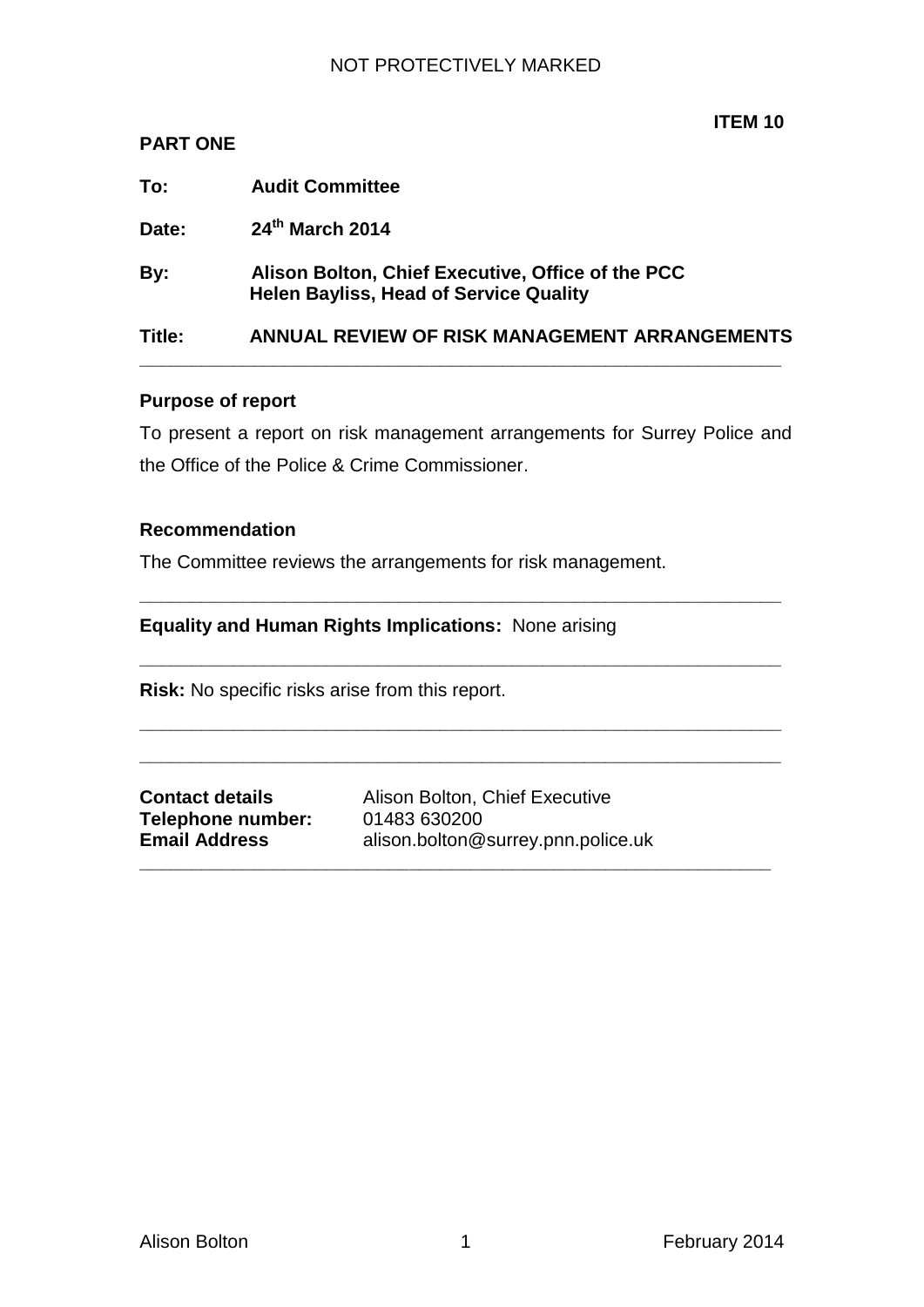| Title:          | ANNUAL REVIEW OF RISK MANAGEMENT ARRANGEMENTS                                                      |
|-----------------|----------------------------------------------------------------------------------------------------|
| By:             | Alison Bolton, Chief Executive, Office of the PCC<br><b>Helen Bayliss, Head of Service Quality</b> |
| Date:           | 24th March 2014                                                                                    |
| To:             | <b>Audit Committee</b>                                                                             |
| <b>PART ONE</b> |                                                                                                    |

# **Purpose of report**

To present a report on risk management arrangements for Surrey Police and the Office of the Police & Crime Commissioner.

**\_\_\_\_\_\_\_\_\_\_\_\_\_\_\_\_\_\_\_\_\_\_\_\_\_\_\_\_\_\_\_\_\_\_\_\_\_\_\_\_\_\_\_\_\_\_\_\_\_\_\_\_\_\_\_\_\_\_\_\_\_\_**

**\_\_\_\_\_\_\_\_\_\_\_\_\_\_\_\_\_\_\_\_\_\_\_\_\_\_\_\_\_\_\_\_\_\_\_\_\_\_\_\_\_\_\_\_\_\_\_\_\_\_\_\_\_\_\_\_\_\_\_\_\_\_**

**\_\_\_\_\_\_\_\_\_\_\_\_\_\_\_\_\_\_\_\_\_\_\_\_\_\_\_\_\_\_\_\_\_\_\_\_\_\_\_\_\_\_\_\_\_\_\_\_\_\_\_\_\_\_\_\_\_\_\_\_\_\_**

**\_\_\_\_\_\_\_\_\_\_\_\_\_\_\_\_\_\_\_\_\_\_\_\_\_\_\_\_\_\_\_\_\_\_\_\_\_\_\_\_\_\_\_\_\_\_\_\_\_\_\_\_\_\_\_\_\_\_\_\_\_\_**

**\_\_\_\_\_\_\_\_\_\_\_\_\_\_\_\_\_\_\_\_\_\_\_\_\_\_\_\_\_\_\_\_\_\_\_\_\_\_\_\_\_\_\_\_\_\_\_\_\_\_\_\_\_\_\_\_\_\_\_\_\_**

#### **Recommendation**

The Committee reviews the arrangements for risk management.

# **Equality and Human Rights Implications:** None arising

**Risk:** No specific risks arise from this report.

| <b>Contact details</b> |
|------------------------|
| Telephone number:      |
| <b>Email Address</b>   |

**Contact details** Alison Bolton, Chief Executive **Telephone number:** 01483 630200 **Email Address** alison.bolton@surrey.pnn.police.uk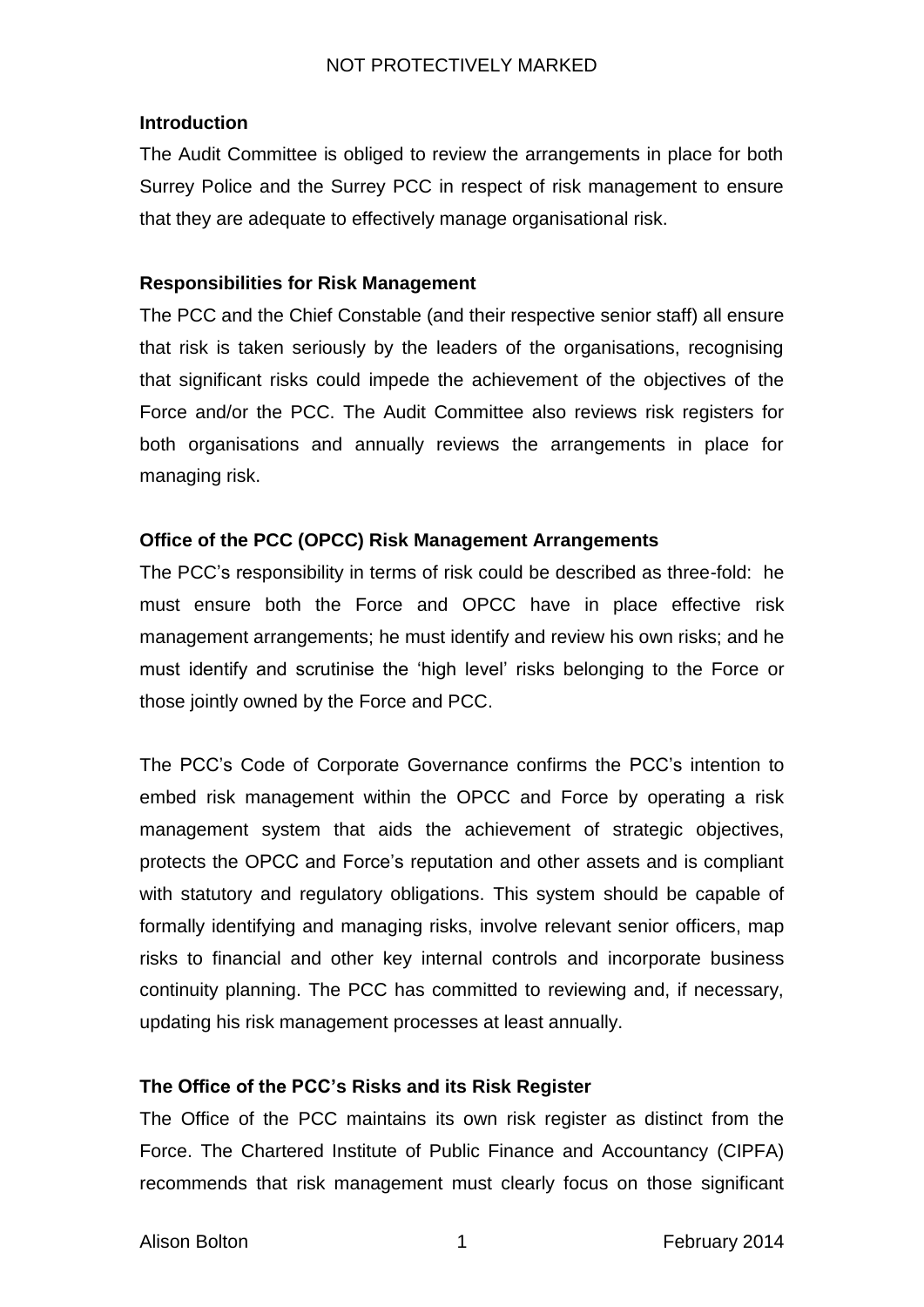#### **Introduction**

The Audit Committee is obliged to review the arrangements in place for both Surrey Police and the Surrey PCC in respect of risk management to ensure that they are adequate to effectively manage organisational risk.

#### **Responsibilities for Risk Management**

The PCC and the Chief Constable (and their respective senior staff) all ensure that risk is taken seriously by the leaders of the organisations, recognising that significant risks could impede the achievement of the objectives of the Force and/or the PCC. The Audit Committee also reviews risk registers for both organisations and annually reviews the arrangements in place for managing risk.

#### **Office of the PCC (OPCC) Risk Management Arrangements**

The PCC's responsibility in terms of risk could be described as three-fold: he must ensure both the Force and OPCC have in place effective risk management arrangements; he must identify and review his own risks; and he must identify and scrutinise the 'high level' risks belonging to the Force or those jointly owned by the Force and PCC.

The PCC's Code of Corporate Governance confirms the PCC's intention to embed risk management within the OPCC and Force by operating a risk management system that aids the achievement of strategic objectives, protects the OPCC and Force's reputation and other assets and is compliant with statutory and regulatory obligations. This system should be capable of formally identifying and managing risks, involve relevant senior officers, map risks to financial and other key internal controls and incorporate business continuity planning. The PCC has committed to reviewing and, if necessary, updating his risk management processes at least annually.

# **The Office of the PCC's Risks and its Risk Register**

The Office of the PCC maintains its own risk register as distinct from the Force. The Chartered Institute of Public Finance and Accountancy (CIPFA) recommends that risk management must clearly focus on those significant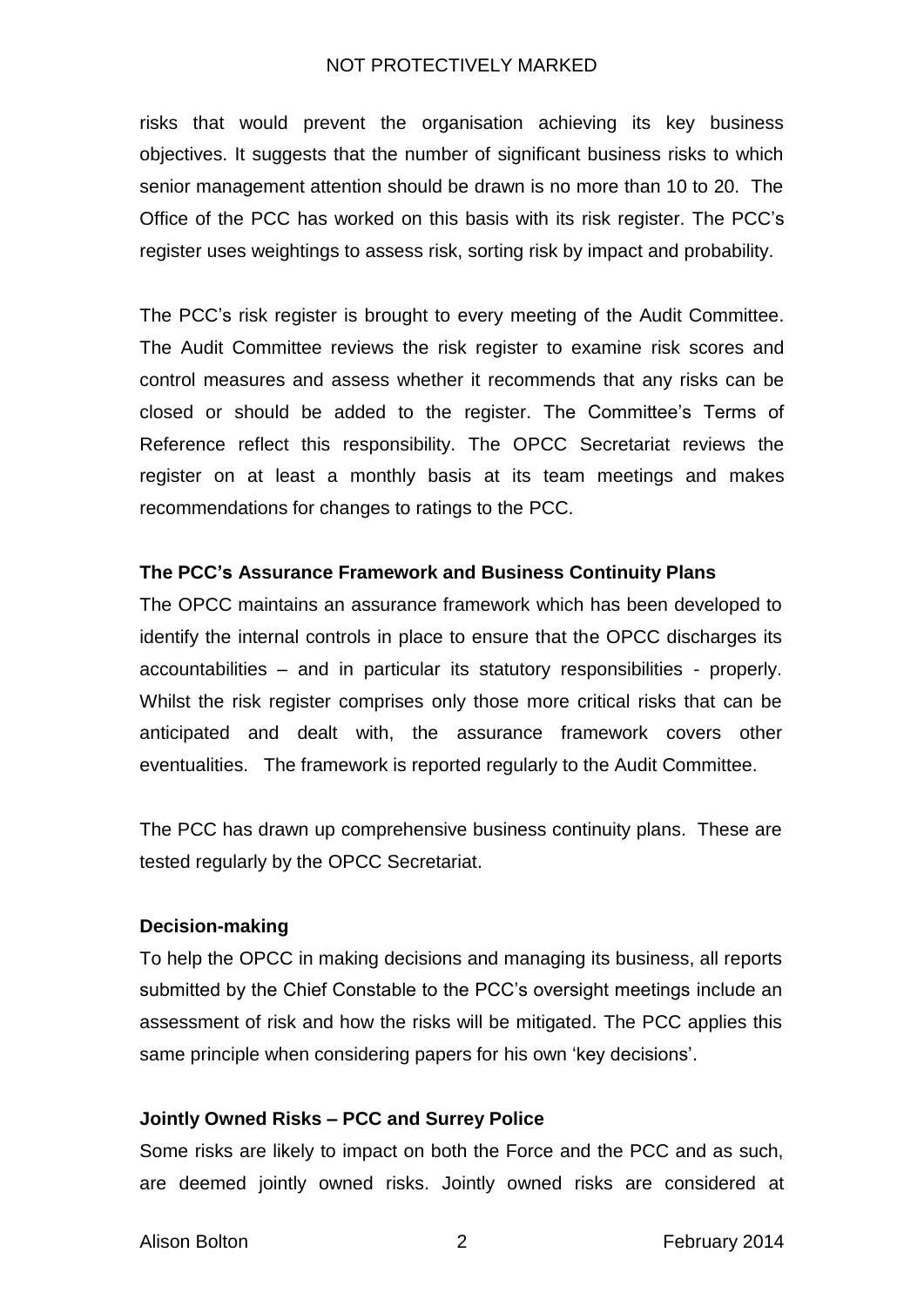risks that would prevent the organisation achieving its key business objectives. It suggests that the number of significant business risks to which senior management attention should be drawn is no more than 10 to 20. The Office of the PCC has worked on this basis with its risk register. The PCC's register uses weightings to assess risk, sorting risk by impact and probability.

The PCC's risk register is brought to every meeting of the Audit Committee. The Audit Committee reviews the risk register to examine risk scores and control measures and assess whether it recommends that any risks can be closed or should be added to the register. The Committee's Terms of Reference reflect this responsibility. The OPCC Secretariat reviews the register on at least a monthly basis at its team meetings and makes recommendations for changes to ratings to the PCC.

#### **The PCC's Assurance Framework and Business Continuity Plans**

The OPCC maintains an assurance framework which has been developed to identify the internal controls in place to ensure that the OPCC discharges its accountabilities – and in particular its statutory responsibilities - properly. Whilst the risk register comprises only those more critical risks that can be anticipated and dealt with, the assurance framework covers other eventualities. The framework is reported regularly to the Audit Committee.

The PCC has drawn up comprehensive business continuity plans. These are tested regularly by the OPCC Secretariat.

#### **Decision-making**

To help the OPCC in making decisions and managing its business, all reports submitted by the Chief Constable to the PCC's oversight meetings include an assessment of risk and how the risks will be mitigated. The PCC applies this same principle when considering papers for his own 'key decisions'.

#### **Jointly Owned Risks – PCC and Surrey Police**

Some risks are likely to impact on both the Force and the PCC and as such, are deemed jointly owned risks. Jointly owned risks are considered at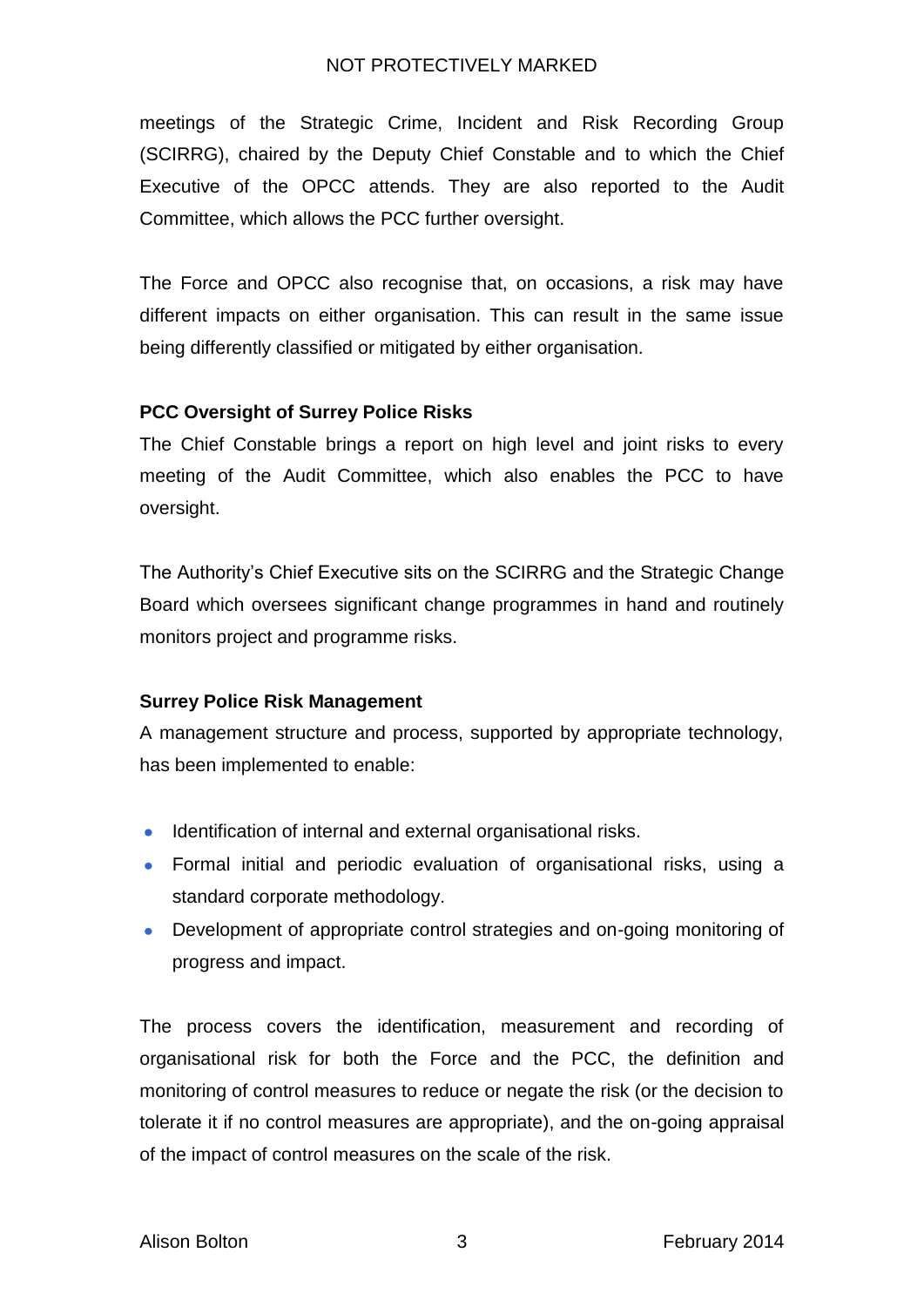meetings of the Strategic Crime, Incident and Risk Recording Group (SCIRRG), chaired by the Deputy Chief Constable and to which the Chief Executive of the OPCC attends. They are also reported to the Audit Committee, which allows the PCC further oversight.

The Force and OPCC also recognise that, on occasions, a risk may have different impacts on either organisation. This can result in the same issue being differently classified or mitigated by either organisation.

# **PCC Oversight of Surrey Police Risks**

The Chief Constable brings a report on high level and joint risks to every meeting of the Audit Committee, which also enables the PCC to have oversight.

The Authority's Chief Executive sits on the SCIRRG and the Strategic Change Board which oversees significant change programmes in hand and routinely monitors project and programme risks.

# **Surrey Police Risk Management**

A management structure and process, supported by appropriate technology, has been implemented to enable:

- Identification of internal and external organisational risks.
- Formal initial and periodic evaluation of organisational risks, using a  $\bullet$ standard corporate methodology.
- Development of appropriate control strategies and on-going monitoring of  $\bullet$ progress and impact.

The process covers the identification, measurement and recording of organisational risk for both the Force and the PCC, the definition and monitoring of control measures to reduce or negate the risk (or the decision to tolerate it if no control measures are appropriate), and the on-going appraisal of the impact of control measures on the scale of the risk.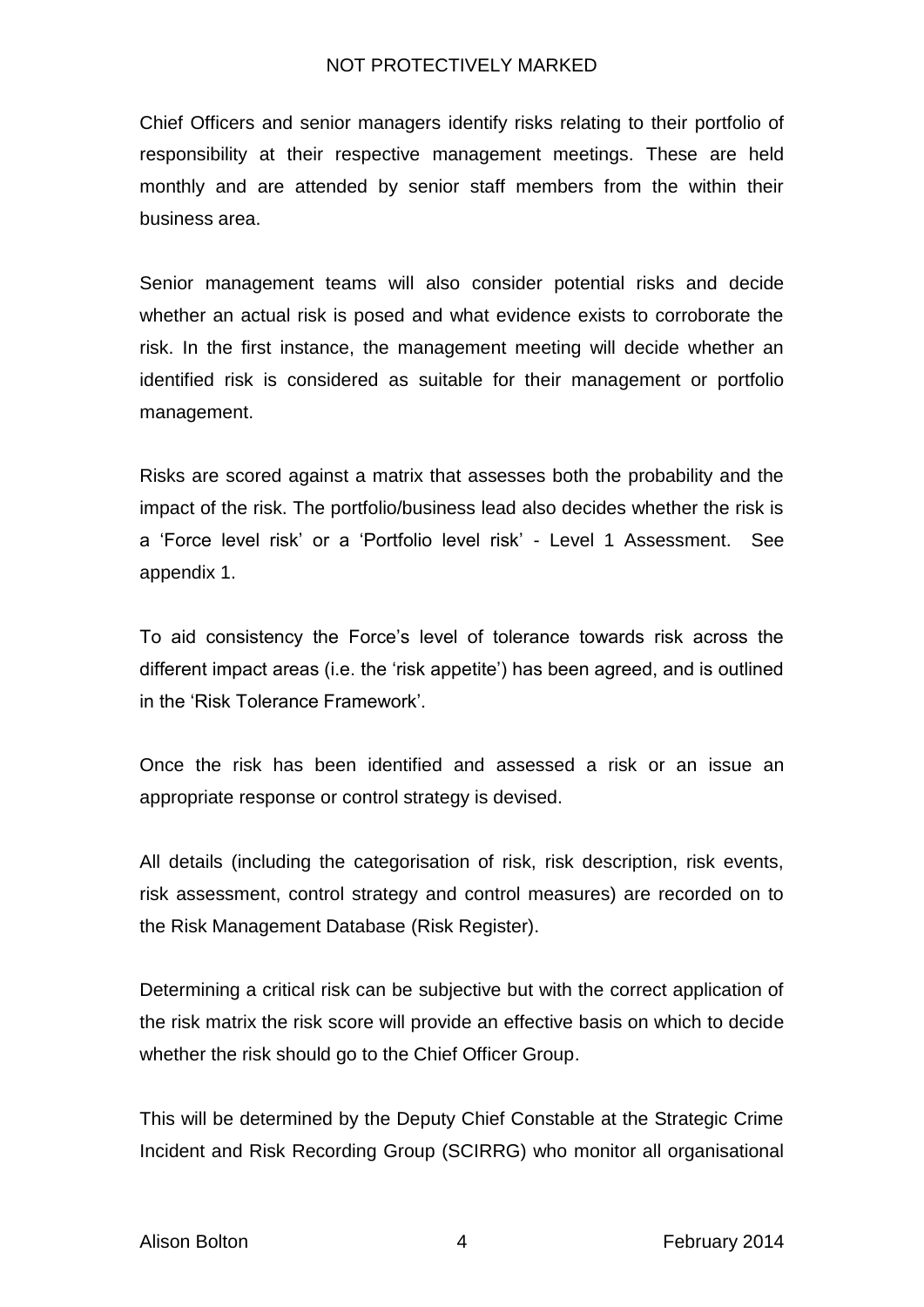Chief Officers and senior managers identify risks relating to their portfolio of responsibility at their respective management meetings. These are held monthly and are attended by senior staff members from the within their business area.

Senior management teams will also consider potential risks and decide whether an actual risk is posed and what evidence exists to corroborate the risk. In the first instance, the management meeting will decide whether an identified risk is considered as suitable for their management or portfolio management.

Risks are scored against a matrix that assesses both the probability and the impact of the risk. The portfolio/business lead also decides whether the risk is a 'Force level risk' or a 'Portfolio level risk' - Level 1 Assessment. See appendix 1.

To aid consistency the Force's level of tolerance towards risk across the different impact areas (i.e. the 'risk appetite') has been agreed, and is outlined in the 'Risk Tolerance Framework'.

Once the risk has been identified and assessed a risk or an issue an appropriate response or control strategy is devised.

All details (including the categorisation of risk, risk description, risk events, risk assessment, control strategy and control measures) are recorded on to the Risk Management Database (Risk Register).

Determining a critical risk can be subjective but with the correct application of the risk matrix the risk score will provide an effective basis on which to decide whether the risk should go to the Chief Officer Group.

This will be determined by the Deputy Chief Constable at the Strategic Crime Incident and Risk Recording Group (SCIRRG) who monitor all organisational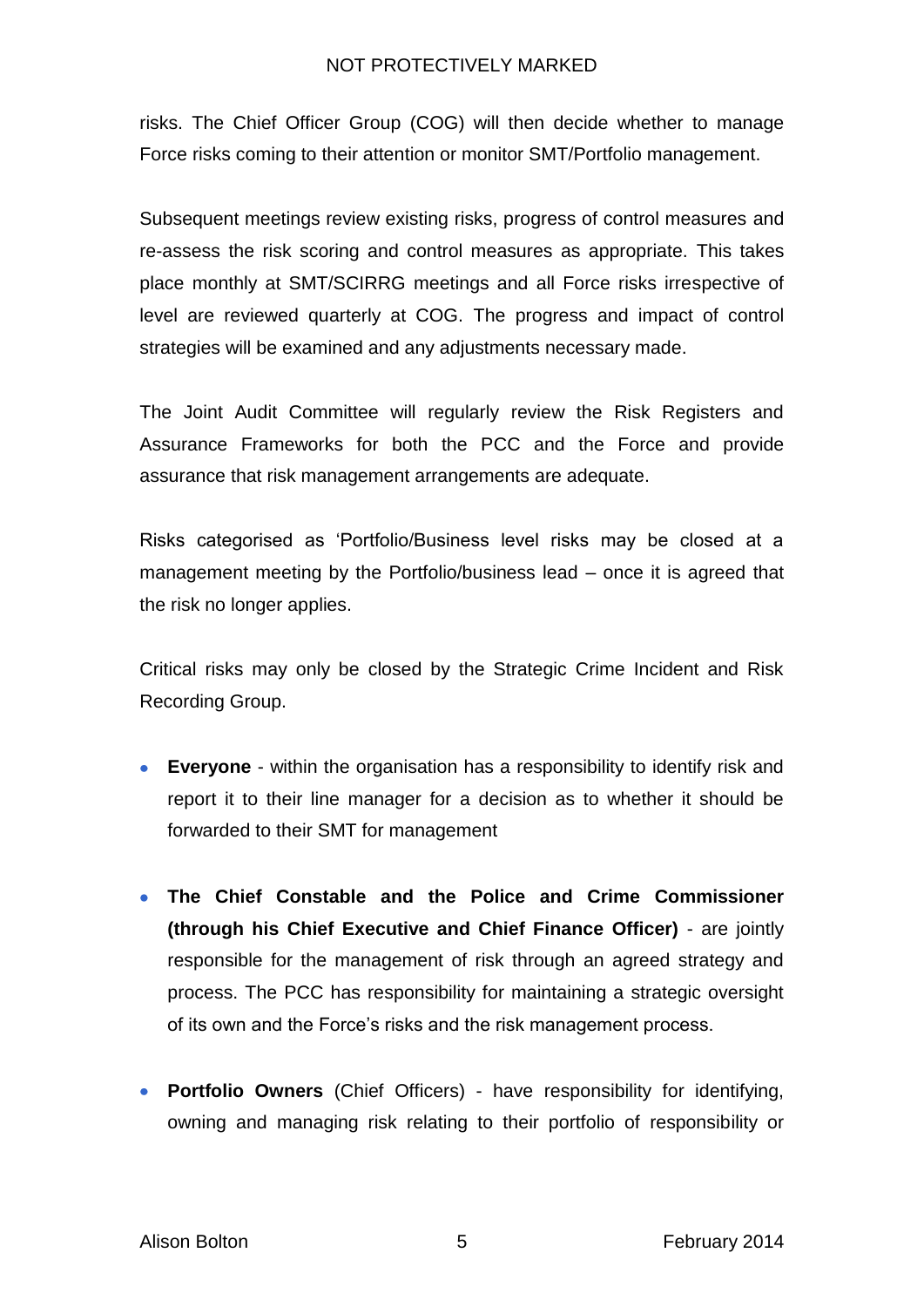risks. The Chief Officer Group (COG) will then decide whether to manage Force risks coming to their attention or monitor SMT/Portfolio management.

Subsequent meetings review existing risks, progress of control measures and re-assess the risk scoring and control measures as appropriate. This takes place monthly at SMT/SCIRRG meetings and all Force risks irrespective of level are reviewed quarterly at COG. The progress and impact of control strategies will be examined and any adjustments necessary made.

The Joint Audit Committee will regularly review the Risk Registers and Assurance Frameworks for both the PCC and the Force and provide assurance that risk management arrangements are adequate.

Risks categorised as 'Portfolio/Business level risks may be closed at a management meeting by the Portfolio/business lead – once it is agreed that the risk no longer applies.

Critical risks may only be closed by the Strategic Crime Incident and Risk Recording Group.

- **Everyone** within the organisation has a responsibility to identify risk and report it to their line manager for a decision as to whether it should be forwarded to their SMT for management
- **The Chief Constable and the Police and Crime Commissioner (through his Chief Executive and Chief Finance Officer)** - are jointly responsible for the management of risk through an agreed strategy and process. The PCC has responsibility for maintaining a strategic oversight of its own and the Force's risks and the risk management process.
- **Portfolio Owners** (Chief Officers) have responsibility for identifying, owning and managing risk relating to their portfolio of responsibility or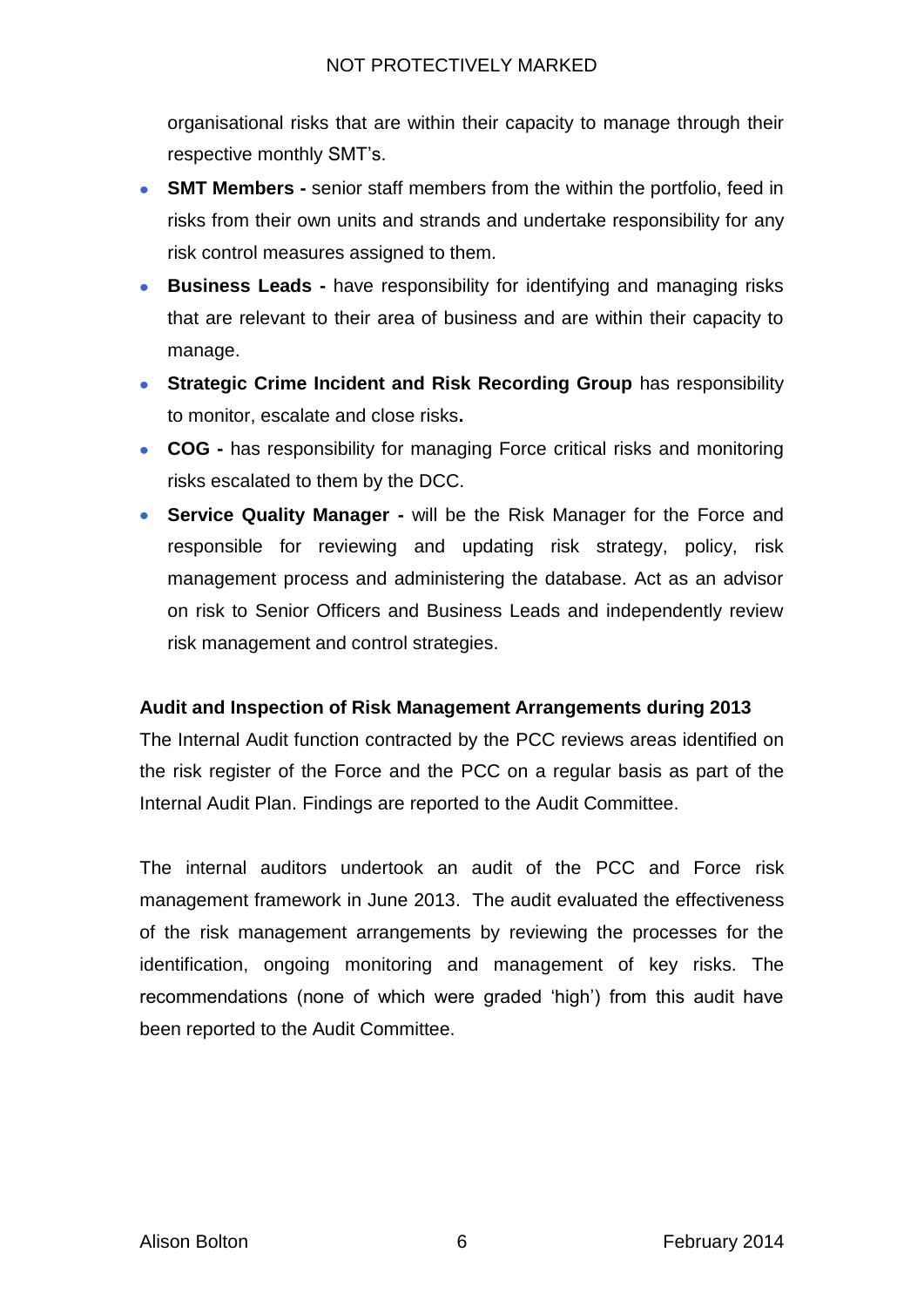organisational risks that are within their capacity to manage through their respective monthly SMT's.

- **SMT Members -** senior staff members from the within the portfolio, feed in risks from their own units and strands and undertake responsibility for any risk control measures assigned to them.
- $\bullet$ **Business Leads -** have responsibility for identifying and managing risks that are relevant to their area of business and are within their capacity to manage.
- **Strategic Crime Incident and Risk Recording Group has responsibility** to monitor, escalate and close risks**.**
- **COG -** has responsibility for managing Force critical risks and monitoring risks escalated to them by the DCC.
- **Service Quality Manager -** will be the Risk Manager for the Force and responsible for reviewing and updating risk strategy, policy, risk management process and administering the database. Act as an advisor on risk to Senior Officers and Business Leads and independently review risk management and control strategies.

#### **Audit and Inspection of Risk Management Arrangements during 2013**

The Internal Audit function contracted by the PCC reviews areas identified on the risk register of the Force and the PCC on a regular basis as part of the Internal Audit Plan. Findings are reported to the Audit Committee.

The internal auditors undertook an audit of the PCC and Force risk management framework in June 2013. The audit evaluated the effectiveness of the risk management arrangements by reviewing the processes for the identification, ongoing monitoring and management of key risks. The recommendations (none of which were graded 'high') from this audit have been reported to the Audit Committee.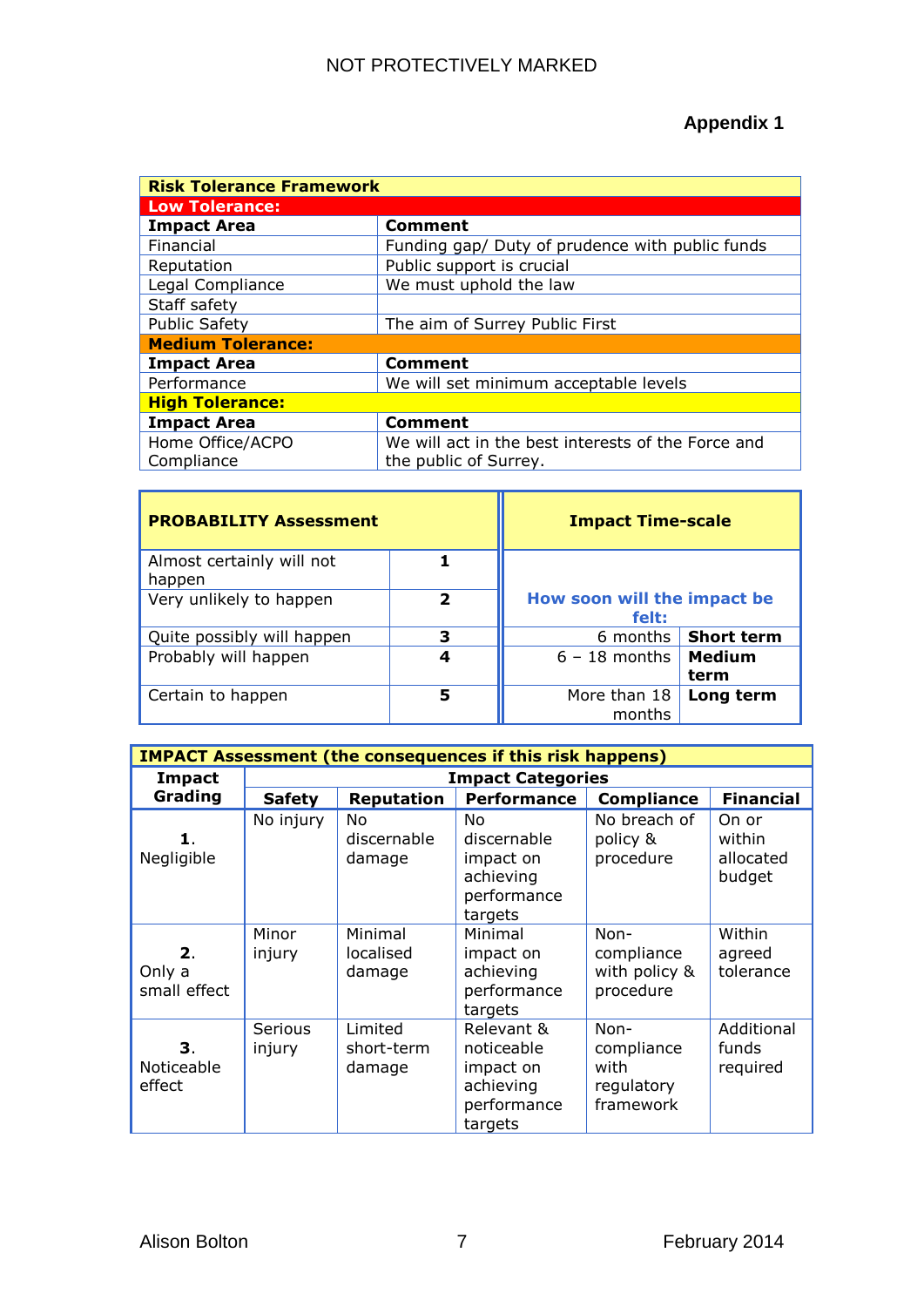# **Appendix 1**

| <b>Risk Tolerance Framework</b> |                                                    |  |  |  |  |
|---------------------------------|----------------------------------------------------|--|--|--|--|
| <b>Low Tolerance:</b>           |                                                    |  |  |  |  |
| <b>Impact Area</b>              | <b>Comment</b>                                     |  |  |  |  |
| Financial                       | Funding gap/ Duty of prudence with public funds    |  |  |  |  |
| Reputation                      | Public support is crucial                          |  |  |  |  |
| Legal Compliance                | We must uphold the law                             |  |  |  |  |
| Staff safety                    |                                                    |  |  |  |  |
| <b>Public Safety</b>            | The aim of Surrey Public First                     |  |  |  |  |
| <b>Medium Tolerance:</b>        |                                                    |  |  |  |  |
| <b>Impact Area</b>              | <b>Comment</b>                                     |  |  |  |  |
| Performance                     | We will set minimum acceptable levels              |  |  |  |  |
| <b>High Tolerance:</b>          |                                                    |  |  |  |  |
| <b>Impact Area</b>              | <b>Comment</b>                                     |  |  |  |  |
| Home Office/ACPO                | We will act in the best interests of the Force and |  |  |  |  |
| Compliance                      | the public of Surrey.                              |  |  |  |  |

| <b>PROBABILITY Assessment</b>       | <b>Impact Time-scale</b> |                                      |                       |
|-------------------------------------|--------------------------|--------------------------------------|-----------------------|
| Almost certainly will not<br>happen |                          |                                      |                       |
| Very unlikely to happen             | $\overline{\mathbf{2}}$  | How soon will the impact be<br>felt: |                       |
| Quite possibly will happen          | з                        | 6 months                             | <b>Short term</b>     |
| Probably will happen                | 4                        | $6 - 18$ months                      | <b>Medium</b><br>term |
| Certain to happen                   | 5                        | More than 18<br>months               | Long term             |

| <b>IMPACT Assessment (the consequences if this risk happens)</b> |                          |                                 |                                                                              |                                                       |                                        |  |
|------------------------------------------------------------------|--------------------------|---------------------------------|------------------------------------------------------------------------------|-------------------------------------------------------|----------------------------------------|--|
| Impact                                                           | <b>Impact Categories</b> |                                 |                                                                              |                                                       |                                        |  |
| Grading                                                          | <b>Safety</b>            | Reputation                      | <b>Performance</b>                                                           | <b>Compliance</b>                                     | <b>Financial</b>                       |  |
| Negligible                                                       | No injury                | No.<br>discernable<br>damage    | No<br>discernable<br>impact on<br>achieving<br>performance<br>targets        | No breach of<br>policy &<br>procedure                 | On or<br>within<br>allocated<br>budget |  |
| 2.<br>Only a<br>small effect                                     | Minor<br>injury          | Minimal<br>localised<br>damage  | Minimal<br>impact on<br>achieving<br>performance<br>targets                  | $Non-$<br>compliance<br>with policy &<br>procedure    | Within<br>agreed<br>tolerance          |  |
| 3.<br>Noticeable<br>effect                                       | <b>Serious</b><br>injury | Limited<br>short-term<br>damage | Relevant &<br>noticeable<br>impact on<br>achieving<br>performance<br>targets | Non-<br>compliance<br>with<br>regulatory<br>framework | Additional<br>funds<br>required        |  |